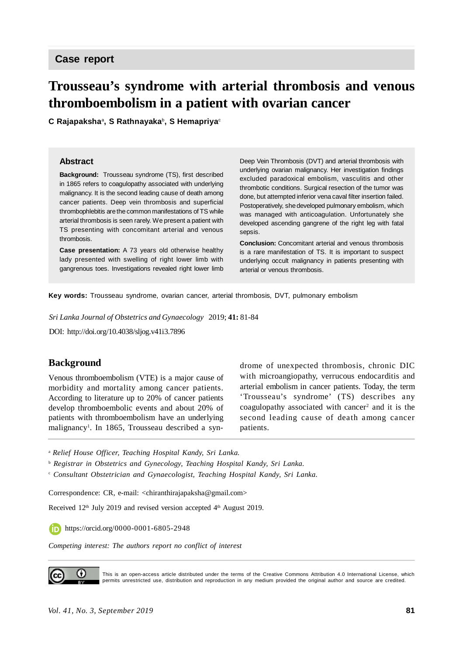# **Trousseau's syndrome with arterial thrombosis and venous thromboembolism in a patient with ovarian cancer**

**C Rajapaksha**<sup>a</sup> **, S Rathnayaka**<sup>b</sup> **, S Hemapriya**<sup>c</sup>

#### **Abstract**

**Background:** Trousseau syndrome (TS), first described in 1865 refers to coagulopathy associated with underlying malignancy. It is the second leading cause of death among cancer patients. Deep vein thrombosis and superficial thrombophlebitis are the common manifestations of TS while arterial thrombosis is seen rarely. We present a patient with TS presenting with concomitant arterial and venous thrombosis.

**Case presentation:** A 73 years old otherwise healthy lady presented with swelling of right lower limb with gangrenous toes. Investigations revealed right lower limb Deep Vein Thrombosis (DVT) and arterial thrombosis with underlying ovarian malignancy. Her investigation findings excluded paradoxical embolism, vasculitis and other thrombotic conditions. Surgical resection of the tumor was done, but attempted inferior vena caval filter insertion failed. Postoperatively, she developed pulmonary embolism, which was managed with anticoagulation. Unfortunately she developed ascending gangrene of the right leg with fatal sepsis.

**Conclusion:** Concomitant arterial and venous thrombosis is a rare manifestation of TS. It is important to suspect underlying occult malignancy in patients presenting with arterial or venous thrombosis.

**Key words:** Trousseau syndrome, ovarian cancer, arterial thrombosis, DVT, pulmonary embolism

*Sri Lanka Journal of Obstetrics and Gynaecology* 2019; **41:** 81-84

DOI: <http://doi.org/10.4038/sljog.v41i3.7896>

## **Background**

Venous thromboembolism (VTE) is a major cause of morbidity and mortality among cancer patients. According to literature up to 20% of cancer patients develop thromboembolic events and about 20% of patients with thromboembolism have an underlying malignancy<sup>1</sup>. In 1865, Trousseau described a syndrome of unexpected thrombosis, chronic DIC with microangiopathy, verrucous endocarditis and arterial embolism in cancer patients. Today, the term 'Trousseau's syndrome' (TS) describes any coagulopathy associated with cancer<sup>2</sup> and it is the second leading cause of death among cancer patients.

<sup>a</sup> *Relief House Officer, Teaching Hospital Kandy, Sri Lanka.*

b  *Registrar in Obstetrics and Gynecology, Teaching Hospital Kandy, Sri Lanka.*

c  *Consultant Obstetrician and Gynaecologist, Teaching Hospital Kandy, Sri Lanka.*

Correspondence: CR, e-mail: <[chiranthirajapaksha@gmail.com](mailto:chiranthirajapaksha@gmail.com)>

Received 12<sup>th</sup> July 2019 and revised version accepted 4<sup>th</sup> August 2019.

<https://orcid.org/0000-0001-6805-2948>

*Competing interest: The authors report no conflict of interest*



This is an open-access article distributed under the terms of the Creative Commons Attribution 4.0 International License, which permits unrestricted use, distribution and reproduction in any medium provided the original author and source are credited.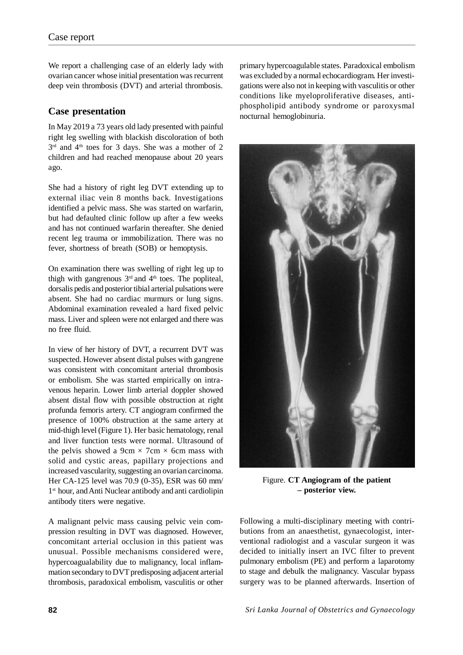We report a challenging case of an elderly lady with ovarian cancer whose initial presentation was recurrent deep vein thrombosis (DVT) and arterial thrombosis.

## **Case presentation**

In May 2019 a 73 years old lady presented with painful right leg swelling with blackish discoloration of both  $3<sup>rd</sup>$  and  $4<sup>th</sup>$  toes for 3 days. She was a mother of 2 children and had reached menopause about 20 years ago.

She had a history of right leg DVT extending up to external iliac vein 8 months back. Investigations identified a pelvic mass. She was started on warfarin, but had defaulted clinic follow up after a few weeks and has not continued warfarin thereafter. She denied recent leg trauma or immobilization. There was no fever, shortness of breath (SOB) or hemoptysis.

On examination there was swelling of right leg up to thigh with gangrenous  $3<sup>rd</sup>$  and  $4<sup>th</sup>$  toes. The popliteal, dorsalis pedis and posterior tibial arterial pulsations were absent. She had no cardiac murmurs or lung signs. Abdominal examination revealed a hard fixed pelvic mass. Liver and spleen were not enlarged and there was no free fluid.

In view of her history of DVT, a recurrent DVT was suspected. However absent distal pulses with gangrene was consistent with concomitant arterial thrombosis or embolism. She was started empirically on intravenous heparin. Lower limb arterial doppler showed absent distal flow with possible obstruction at right profunda femoris artery. CT angiogram confirmed the presence of 100% obstruction at the same artery at mid-thigh level (Figure 1). Her basic hematology, renal and liver function tests were normal. Ultrasound of the pelvis showed a 9cm  $\times$  7cm  $\times$  6cm mass with solid and cystic areas, papillary projections and increased vascularity, suggesting an ovarian carcinoma. Her CA-125 level was 70.9 (0-35), ESR was 60 mm/ 1 st hour, and Anti Nuclear antibody and anti cardiolipin antibody titers were negative.

A malignant pelvic mass causing pelvic vein compression resulting in DVT was diagnosed. However, concomitant arterial occlusion in this patient was unusual. Possible mechanisms considered were, hypercoagualability due to malignancy, local inflammation secondary to DVT predisposing adjacent arterial thrombosis, paradoxical embolism, vasculitis or other primary hypercoagulable states. Paradoxical embolism was excluded by a normal echocardiogram. Her investigations were also not in keeping with vasculitis or other conditions like myeloproliferative diseases, antiphospholipid antibody syndrome or paroxysmal nocturnal hemoglobinuria.



Figure. **CT Angiogram of the patient – posterior view.**

Following a multi-disciplinary meeting with contributions from an anaesthetist, gynaecologist, interventional radiologist and a vascular surgeon it was decided to initially insert an IVC filter to prevent pulmonary embolism (PE) and perform a laparotomy to stage and debulk the malignancy. Vascular bypass surgery was to be planned afterwards. Insertion of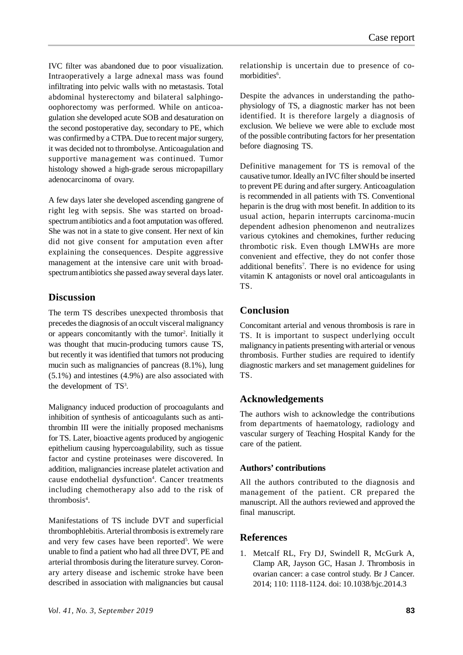IVC filter was abandoned due to poor visualization. Intraoperatively a large adnexal mass was found infiltrating into pelvic walls with no metastasis. Total abdominal hysterectomy and bilateral salphingooophorectomy was performed. While on anticoagulation she developed acute SOB and desaturation on the second postoperative day, secondary to PE, which was confirmed by a CTPA. Due to recent major surgery, it was decided not to thrombolyse. Anticoagulation and supportive management was continued. Tumor histology showed a high-grade serous micropapillary adenocarcinoma of ovary.

A few days later she developed ascending gangrene of right leg with sepsis. She was started on broadspectrum antibiotics and a foot amputation was offered. She was not in a state to give consent. Her next of kin did not give consent for amputation even after explaining the consequences. Despite aggressive management at the intensive care unit with broadspectrum antibiotics she passed away several days later.

## **Discussion**

The term TS describes unexpected thrombosis that precedes the diagnosis of an occult visceral malignancy or appears concomitantly with the tumor<sup>2</sup>. Initially it was thought that mucin-producing tumors cause TS, but recently it was identified that tumors not producing mucin such as malignancies of pancreas (8.1%), lung (5.1%) and intestines (4.9%) are also associated with the development of  $TS<sup>3</sup>$ .

Malignancy induced production of procoagulants and inhibition of synthesis of anticoagulants such as antithrombin III were the initially proposed mechanisms for TS. Later, bioactive agents produced by angiogenic epithelium causing hypercoagulability, such as tissue factor and cystine proteinases were discovered. In addition, malignancies increase platelet activation and cause endothelial dysfunction<sup>4</sup>. Cancer treatments including chemotherapy also add to the risk of thrombosis<sup>4</sup>.

Manifestations of TS include DVT and superficial thrombophlebitis. Arterial thrombosis is extremely rare and very few cases have been reported<sup>5</sup>. We were unable to find a patient who had all three DVT, PE and arterial thrombosis during the literature survey. Coronary artery disease and ischemic stroke have been described in association with malignancies but causal

relationship is uncertain due to presence of comorbidities<sup>6</sup>.

Despite the advances in understanding the pathophysiology of TS, a diagnostic marker has not been identified. It is therefore largely a diagnosis of exclusion. We believe we were able to exclude most of the possible contributing factors for her presentation before diagnosing TS.

Definitive management for TS is removal of the causative tumor. Ideally an IVC filter should be inserted to prevent PE during and after surgery. Anticoagulation is recommended in all patients with TS. Conventional heparin is the drug with most benefit. In addition to its usual action, heparin interrupts carcinoma-mucin dependent adhesion phenomenon and neutralizes various cytokines and chemokines, further reducing thrombotic risk. Even though LMWHs are more convenient and effective, they do not confer those additional benefits<sup>7</sup>. There is no evidence for using vitamin K antagonists or novel oral anticoagulants in TS.

# **Conclusion**

Concomitant arterial and venous thrombosis is rare in TS. It is important to suspect underlying occult malignancy in patients presenting with arterial or venous thrombosis. Further studies are required to identify diagnostic markers and set management guidelines for TS.

# **Acknowledgements**

The authors wish to acknowledge the contributions from departments of haematology, radiology and vascular surgery of Teaching Hospital Kandy for the care of the patient.

#### **Authors' contributions**

All the authors contributed to the diagnosis and management of the patient. CR prepared the manuscript. All the authors reviewed and approved the final manuscript.

# **References**

1. Metcalf RL, Fry DJ, Swindell R, McGurk A, Clamp AR, Jayson GC, Hasan J. Thrombosis in ovarian cancer: a case control study. Br J Cancer. 2014; 110: 1118-1124. doi: 10.1038/bjc.2014.3